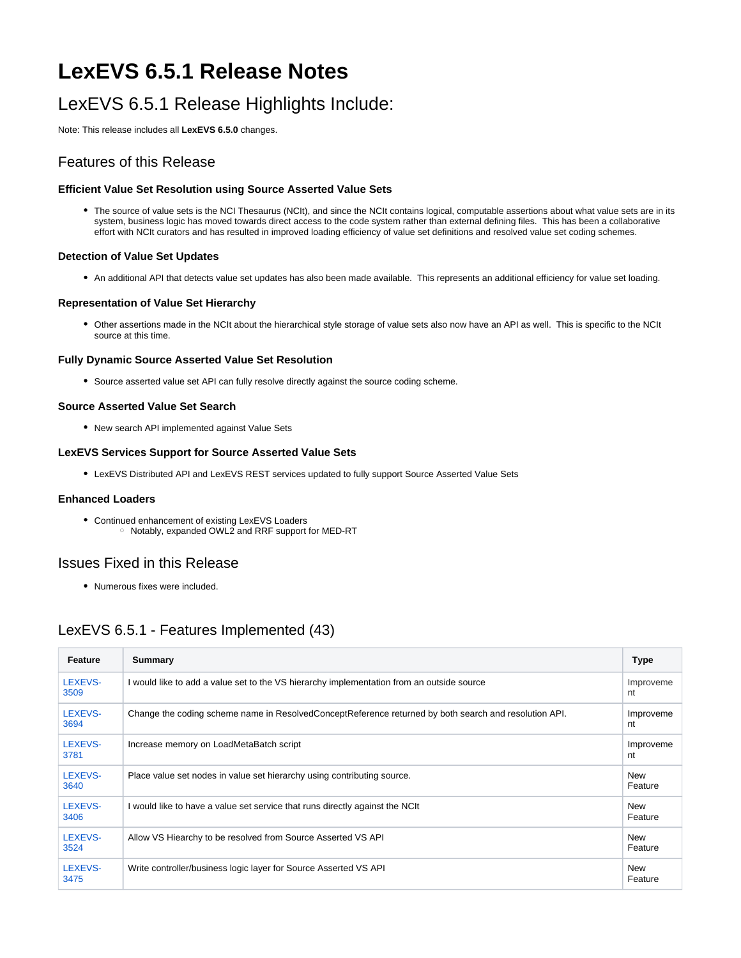# **LexEVS 6.5.1 Release Notes**

# LexEVS 6.5.1 Release Highlights Include:

Note: This release includes all **LexEVS 6.5.0** changes.

## Features of this Release

## **Efficient Value Set Resolution using Source Asserted Value Sets**

The source of value sets is the NCI Thesaurus (NCIt), and since the NCIt contains logical, computable assertions about what value sets are in its system, business logic has moved towards direct access to the code system rather than external defining files. This has been a collaborative effort with NCIt curators and has resulted in improved loading efficiency of value set definitions and resolved value set coding schemes.

### **Detection of Value Set Updates**

An additional API that detects value set updates has also been made available. This represents an additional efficiency for value set loading.

### **Representation of Value Set Hierarchy**

Other assertions made in the NCIt about the hierarchical style storage of value sets also now have an API as well. This is specific to the NCIt source at this time.

### **Fully Dynamic Source Asserted Value Set Resolution**

Source asserted value set API can fully resolve directly against the source coding scheme.

### **Source Asserted Value Set Search**

New search API implemented against Value Sets

### **LexEVS Services Support for Source Asserted Value Sets**

LexEVS Distributed API and LexEVS REST services updated to fully support Source Asserted Value Sets

#### **Enhanced Loaders**

Continued enhancement of existing LexEVS Loaders o Notably, expanded OWL2 and RRF support for MED-RT

## Issues Fixed in this Release

Numerous fixes were included.

## LexEVS 6.5.1 - Features Implemented (43)

| Feature         | Summary                                                                                               | <b>Type</b>           |
|-----------------|-------------------------------------------------------------------------------------------------------|-----------------------|
| LEXEVS-<br>3509 | I would like to add a value set to the VS hierarchy implementation from an outside source             | Improveme<br>nt       |
| LEXEVS-<br>3694 | Change the coding scheme name in ResolvedConceptReference returned by both search and resolution API. | Improveme<br>nt       |
| LEXEVS-<br>3781 | Increase memory on LoadMetaBatch script                                                               | Improveme<br>nt       |
| LEXEVS-<br>3640 | Place value set nodes in value set hierarchy using contributing source.                               | <b>New</b><br>Feature |
| LEXEVS-<br>3406 | I would like to have a value set service that runs directly against the NCIt                          | <b>New</b><br>Feature |
| LEXEVS-<br>3524 | Allow VS Hiearchy to be resolved from Source Asserted VS API                                          | <b>New</b><br>Feature |
| LEXEVS-<br>3475 | Write controller/business logic layer for Source Asserted VS API                                      | <b>New</b><br>Feature |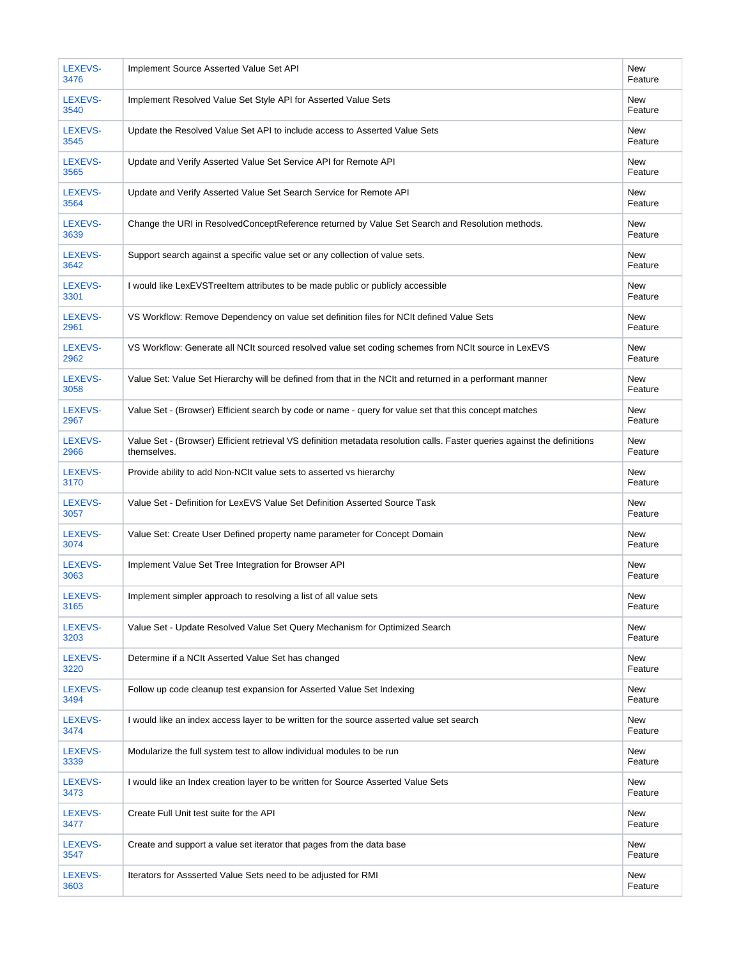| LEXEVS-<br>3476 | Implement Source Asserted Value Set API                                                                                                  | <b>New</b><br>Feature |
|-----------------|------------------------------------------------------------------------------------------------------------------------------------------|-----------------------|
| LEXEVS-<br>3540 | Implement Resolved Value Set Style API for Asserted Value Sets                                                                           | <b>New</b><br>Feature |
| LEXEVS-<br>3545 | Update the Resolved Value Set API to include access to Asserted Value Sets                                                               | <b>New</b><br>Feature |
| LEXEVS-<br>3565 | Update and Verify Asserted Value Set Service API for Remote API                                                                          | New<br>Feature        |
| LEXEVS-<br>3564 | Update and Verify Asserted Value Set Search Service for Remote API                                                                       | New<br>Feature        |
| LEXEVS-<br>3639 | Change the URI in ResolvedConceptReference returned by Value Set Search and Resolution methods.                                          | New<br>Feature        |
| LEXEVS-<br>3642 | Support search against a specific value set or any collection of value sets.                                                             | New<br>Feature        |
| LEXEVS-<br>3301 | I would like LexEVSTreeItem attributes to be made public or publicly accessible                                                          | New<br>Feature        |
| LEXEVS-<br>2961 | VS Workflow: Remove Dependency on value set definition files for NCIt defined Value Sets                                                 | New<br>Feature        |
| LEXEVS-<br>2962 | VS Workflow: Generate all NCIt sourced resolved value set coding schemes from NCIt source in LexEVS                                      | <b>New</b><br>Feature |
| LEXEVS-<br>3058 | Value Set: Value Set Hierarchy will be defined from that in the NCIt and returned in a performant manner                                 | New<br>Feature        |
| LEXEVS-<br>2967 | Value Set - (Browser) Efficient search by code or name - query for value set that this concept matches                                   | <b>New</b><br>Feature |
| LEXEVS-<br>2966 | Value Set - (Browser) Efficient retrieval VS definition metadata resolution calls. Faster queries against the definitions<br>themselves. | <b>New</b><br>Feature |
| LEXEVS-<br>3170 | Provide ability to add Non-NCIt value sets to asserted vs hierarchy                                                                      | New<br>Feature        |
| LEXEVS-<br>3057 | Value Set - Definition for LexEVS Value Set Definition Asserted Source Task                                                              | New<br>Feature        |
| LEXEVS-<br>3074 | Value Set: Create User Defined property name parameter for Concept Domain                                                                | New<br>Feature        |
| LEXEVS-<br>3063 | Implement Value Set Tree Integration for Browser API                                                                                     | New<br>Feature        |
| LEXEVS-<br>3165 | Implement simpler approach to resolving a list of all value sets                                                                         | New<br>Feature        |
| LEXEVS-<br>3203 | Value Set - Update Resolved Value Set Query Mechanism for Optimized Search                                                               | New<br>Feature        |
| LEXEVS-<br>3220 | Determine if a NCIt Asserted Value Set has changed                                                                                       | New<br>Feature        |
| LEXEVS-<br>3494 | Follow up code cleanup test expansion for Asserted Value Set Indexing                                                                    | <b>New</b><br>Feature |
| LEXEVS-<br>3474 | I would like an index access layer to be written for the source asserted value set search                                                | New<br>Feature        |
| LEXEVS-<br>3339 | Modularize the full system test to allow individual modules to be run                                                                    | New<br>Feature        |
| LEXEVS-<br>3473 | I would like an Index creation layer to be written for Source Asserted Value Sets                                                        | New<br>Feature        |
| LEXEVS-<br>3477 | Create Full Unit test suite for the API                                                                                                  | New<br>Feature        |
| LEXEVS-<br>3547 | Create and support a value set iterator that pages from the data base                                                                    | New<br>Feature        |
| LEXEVS-<br>3603 | Iterators for Assserted Value Sets need to be adjusted for RMI                                                                           | New<br>Feature        |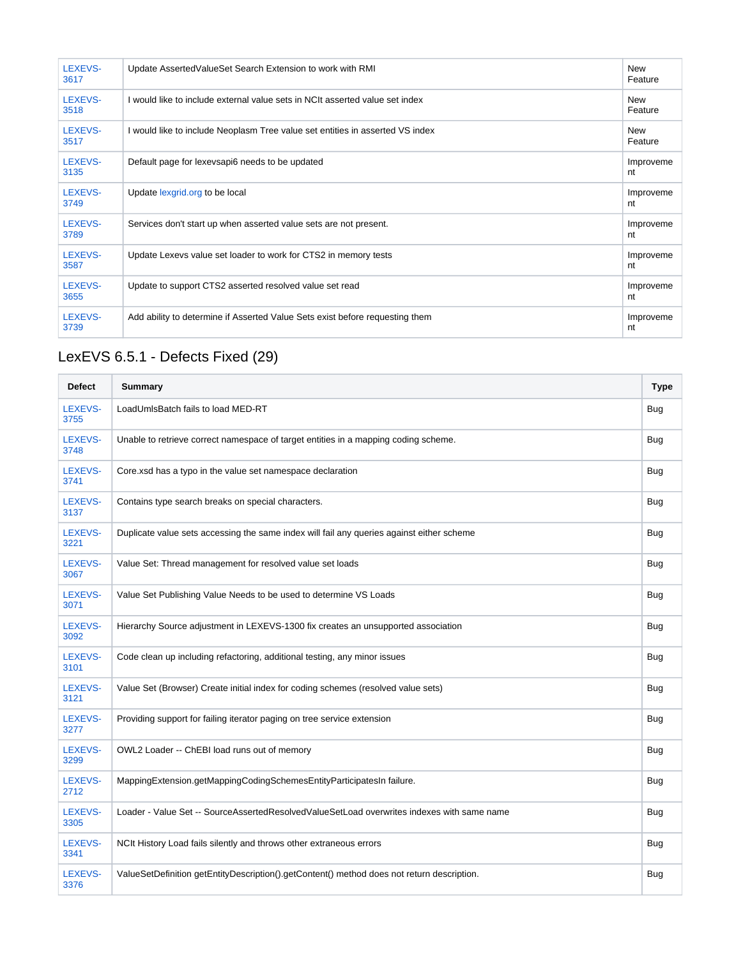| LEXEVS-<br>3617 | Update AssertedValueSet Search Extension to work with RMI                     | <b>New</b><br>Feature |
|-----------------|-------------------------------------------------------------------------------|-----------------------|
| LEXEVS-<br>3518 | I would like to include external value sets in NCIt asserted value set index  | <b>New</b><br>Feature |
| LEXEVS-<br>3517 | I would like to include Neoplasm Tree value set entities in asserted VS index | <b>New</b><br>Feature |
| LEXEVS-<br>3135 | Default page for lexevsapi6 needs to be updated                               | Improveme<br>nt       |
| LEXEVS-<br>3749 | Update lexgrid.org to be local                                                | Improveme<br>nt       |
| LEXEVS-<br>3789 | Services don't start up when asserted value sets are not present.             | Improveme<br>nt       |
| LEXEVS-<br>3587 | Update Lexevs value set loader to work for CTS2 in memory tests               | Improveme<br>nt       |
| LEXEVS-<br>3655 | Update to support CTS2 asserted resolved value set read                       | Improveme<br>nt       |
| LEXEVS-<br>3739 | Add ability to determine if Asserted Value Sets exist before requesting them  | Improveme<br>nt       |

# LexEVS 6.5.1 - Defects Fixed (29)

| <b>Defect</b>   | Summary                                                                                    | <b>Type</b> |
|-----------------|--------------------------------------------------------------------------------------------|-------------|
| LEXEVS-<br>3755 | LoadUmIsBatch fails to load MED-RT                                                         | <b>Bug</b>  |
| LEXEVS-<br>3748 | Unable to retrieve correct namespace of target entities in a mapping coding scheme.        | <b>Bug</b>  |
| LEXEVS-<br>3741 | Core.xsd has a typo in the value set namespace declaration                                 | <b>Bug</b>  |
| LEXEVS-<br>3137 | Contains type search breaks on special characters.                                         | <b>Bug</b>  |
| LEXEVS-<br>3221 | Duplicate value sets accessing the same index will fail any queries against either scheme  | <b>Bug</b>  |
| LEXEVS-<br>3067 | Value Set: Thread management for resolved value set loads                                  | Bug         |
| LEXEVS-<br>3071 | Value Set Publishing Value Needs to be used to determine VS Loads                          | <b>Bug</b>  |
| LEXEVS-<br>3092 | Hierarchy Source adjustment in LEXEVS-1300 fix creates an unsupported association          | Bug         |
| LEXEVS-<br>3101 | Code clean up including refactoring, additional testing, any minor issues                  | <b>Bug</b>  |
| LEXEVS-<br>3121 | Value Set (Browser) Create initial index for coding schemes (resolved value sets)          | Bug         |
| LEXEVS-<br>3277 | Providing support for failing iterator paging on tree service extension                    | <b>Bug</b>  |
| LEXEVS-<br>3299 | OWL2 Loader -- ChEBI load runs out of memory                                               | Bug         |
| LEXEVS-<br>2712 | MappingExtension.getMappingCodingSchemesEntityParticipatesIn failure.                      | <b>Bug</b>  |
| LEXEVS-<br>3305 | Loader - Value Set -- SourceAssertedResolvedValueSetLoad overwrites indexes with same name | Bug         |
| LEXEVS-<br>3341 | NCIt History Load fails silently and throws other extraneous errors                        | Bug         |
| LEXEVS-<br>3376 | ValueSetDefinition getEntityDescription().getContent() method does not return description. | <b>Bug</b>  |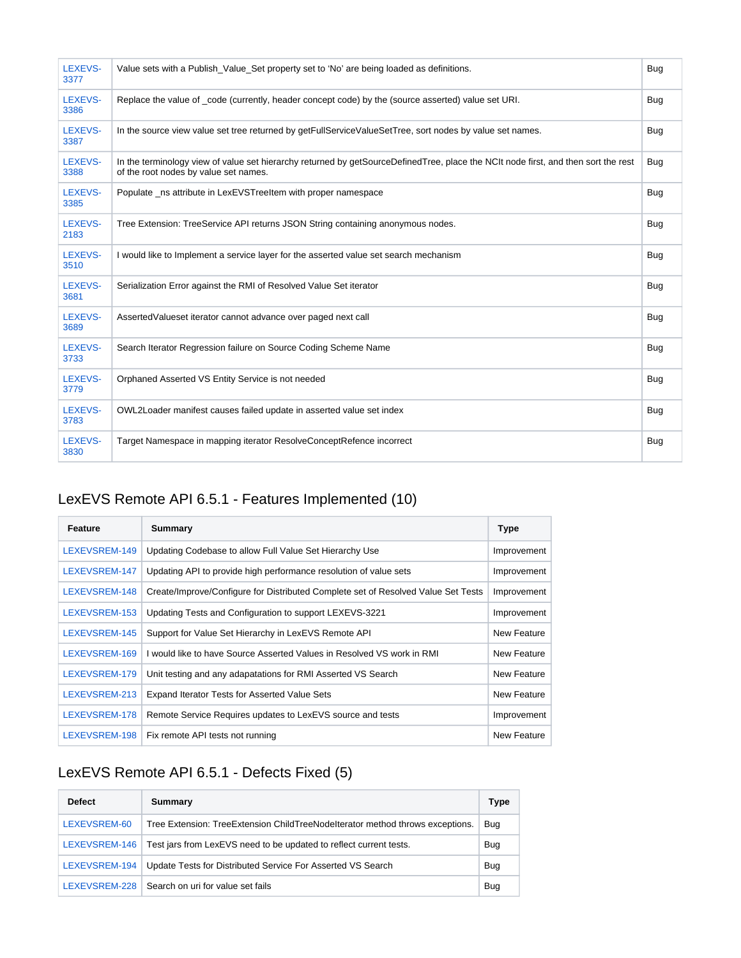| LEXEVS-<br>3377 | Value sets with a Publish Value Set property set to 'No' are being loaded as definitions.                                                                                   | Bug        |
|-----------------|-----------------------------------------------------------------------------------------------------------------------------------------------------------------------------|------------|
| LEXEVS-<br>3386 | Replace the value of code (currently, header concept code) by the (source asserted) value set URI.                                                                          | Bug        |
| LEXEVS-<br>3387 | In the source view value set tree returned by getFullServiceValueSetTree, sort nodes by value set names.                                                                    | Bug        |
| LEXEVS-<br>3388 | In the terminology view of value set hierarchy returned by getSourceDefinedTree, place the NCIt node first, and then sort the rest<br>of the root nodes by value set names. | Bug        |
| LEXEVS-<br>3385 | Populate _ns attribute in LexEVSTreeItem with proper namespace                                                                                                              | Bug        |
| LEXEVS-<br>2183 | Tree Extension: TreeService API returns JSON String containing anonymous nodes.                                                                                             | <b>Bug</b> |
| LEXEVS-<br>3510 | I would like to Implement a service layer for the asserted value set search mechanism                                                                                       | <b>Bug</b> |
| LEXEVS-<br>3681 | Serialization Error against the RMI of Resolved Value Set iterator                                                                                                          | <b>Bug</b> |
| LEXEVS-<br>3689 | AssertedValueset iterator cannot advance over paged next call                                                                                                               | Bug        |
| LEXEVS-<br>3733 | Search Iterator Regression failure on Source Coding Scheme Name                                                                                                             | <b>Bug</b> |
| LEXEVS-<br>3779 | Orphaned Asserted VS Entity Service is not needed                                                                                                                           | <b>Bug</b> |
| LEXEVS-<br>3783 | OWL2Loader manifest causes failed update in asserted value set index                                                                                                        | Bug        |
| LEXEVS-<br>3830 | Target Namespace in mapping iterator ResolveConceptRefence incorrect                                                                                                        | <b>Bug</b> |

# LexEVS Remote API 6.5.1 - Features Implemented (10)

| Feature       | Summary                                                                           | <b>Type</b> |
|---------------|-----------------------------------------------------------------------------------|-------------|
| LEXEVSREM-149 | Updating Codebase to allow Full Value Set Hierarchy Use                           | Improvement |
| LEXEVSREM-147 | Updating API to provide high performance resolution of value sets                 | Improvement |
| LEXEVSREM-148 | Create/Improve/Configure for Distributed Complete set of Resolved Value Set Tests | Improvement |
| LEXEVSREM-153 | Updating Tests and Configuration to support LEXEVS-3221                           | Improvement |
| LEXEVSREM-145 | Support for Value Set Hierarchy in LexEVS Remote API                              | New Feature |
| LEXEVSREM-169 | I would like to have Source Asserted Values in Resolved VS work in RMI            | New Feature |
| LEXEVSREM-179 | Unit testing and any adapatations for RMI Asserted VS Search                      | New Feature |
| LEXEVSREM-213 | <b>Expand Iterator Tests for Asserted Value Sets</b>                              | New Feature |
| LEXEVSREM-178 | Remote Service Requires updates to LexEVS source and tests                        | Improvement |
| LEXEVSREM-198 | Fix remote API tests not running                                                  | New Feature |

# LexEVS Remote API 6.5.1 - Defects Fixed (5)

| <b>Defect</b> | Summary                                                                       | <b>Type</b> |
|---------------|-------------------------------------------------------------------------------|-------------|
| LEXEVSREM-60  | Tree Extension: TreeExtension ChildTreeNodeIterator method throws exceptions. | Bug         |
| LEXEVSREM-146 | Test jars from LexEVS need to be updated to reflect current tests.            | Bug         |
| LEXEVSREM-194 | Update Tests for Distributed Service For Asserted VS Search                   | Bug         |
| LEXEVSREM-228 | Search on uri for value set fails                                             | Bug         |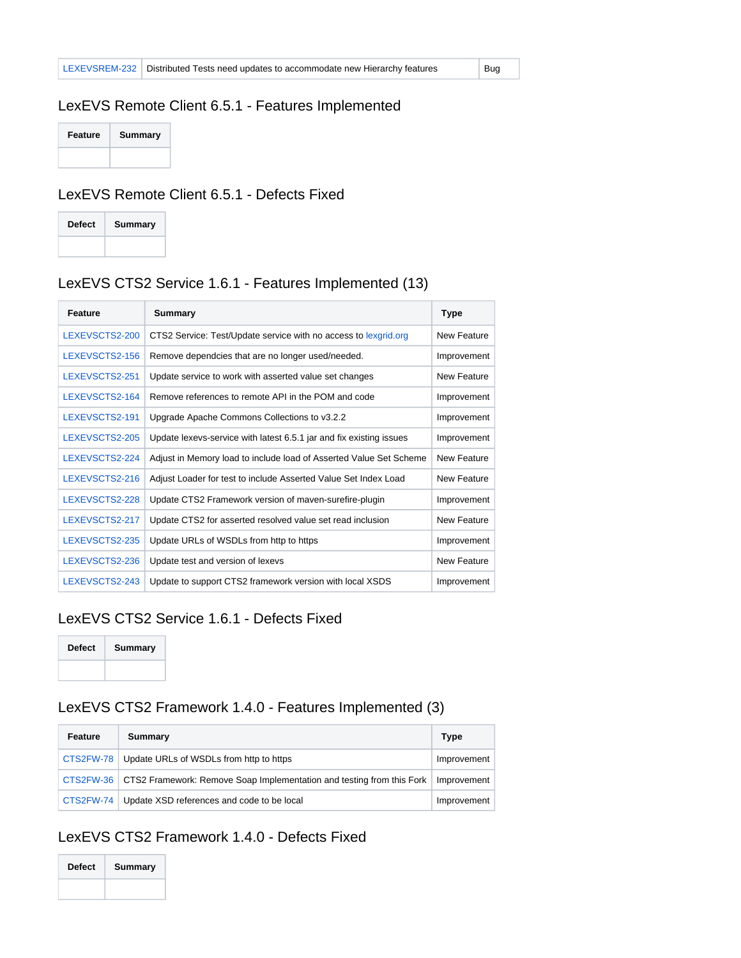## LexEVS Remote Client 6.5.1 - Features Implemented

| Feature | <b>Summary</b> |
|---------|----------------|
|         |                |

## LexEVS Remote Client 6.5.1 - Defects Fixed

| <b>Defect</b> | Summary |
|---------------|---------|
|               |         |

# LexEVS CTS2 Service 1.6.1 - Features Implemented (13)

| <b>Feature</b> | Summary                                                             | <b>Type</b>        |
|----------------|---------------------------------------------------------------------|--------------------|
| LEXEVSCTS2-200 | CTS2 Service: Test/Update service with no access to lexgrid.org     | New Feature        |
| LEXEVSCTS2-156 | Remove dependcies that are no longer used/needed.                   | Improvement        |
| LEXEVSCTS2-251 | Update service to work with asserted value set changes              | New Feature        |
| LEXEVSCTS2-164 | Remove references to remote API in the POM and code                 | Improvement        |
| LEXEVSCTS2-191 | Upgrade Apache Commons Collections to v3.2.2                        | Improvement        |
| LEXEVSCTS2-205 | Update lexevs-service with latest 6.5.1 jar and fix existing issues | Improvement        |
| LEXEVSCTS2-224 | Adjust in Memory load to include load of Asserted Value Set Scheme  | New Feature        |
| LEXEVSCTS2-216 | Adjust Loader for test to include Asserted Value Set Index Load     | <b>New Feature</b> |
| LEXEVSCTS2-228 | Update CTS2 Framework version of maven-surefire-plugin              | Improvement        |
| LEXEVSCTS2-217 | Update CTS2 for asserted resolved value set read inclusion          | New Feature        |
| LEXEVSCTS2-235 | Update URLs of WSDLs from http to https                             | Improvement        |
| LEXEVSCTS2-236 | Update test and version of lexevs                                   | New Feature        |
| LEXEVSCTS2-243 | Update to support CTS2 framework version with local XSDS            | Improvement        |

## LexEVS CTS2 Service 1.6.1 - Defects Fixed

| <b>Defect</b> | Summary |
|---------------|---------|
|               |         |

## LexEVS CTS2 Framework 1.4.0 - Features Implemented (3)

| Feature     | Summary                                                                           | Type        |
|-------------|-----------------------------------------------------------------------------------|-------------|
| CTS2FW-78   | Update URLs of WSDLs from http to https                                           | Improvement |
|             | CTS2FW-36   CTS2 Framework: Remove Soap Implementation and testing from this Fork | Improvement |
| $CTS2FW-74$ | Update XSD references and code to be local                                        | Improvement |

# LexEVS CTS2 Framework 1.4.0 - Defects Fixed

| <b>Defect</b> | Summary |
|---------------|---------|
|               |         |